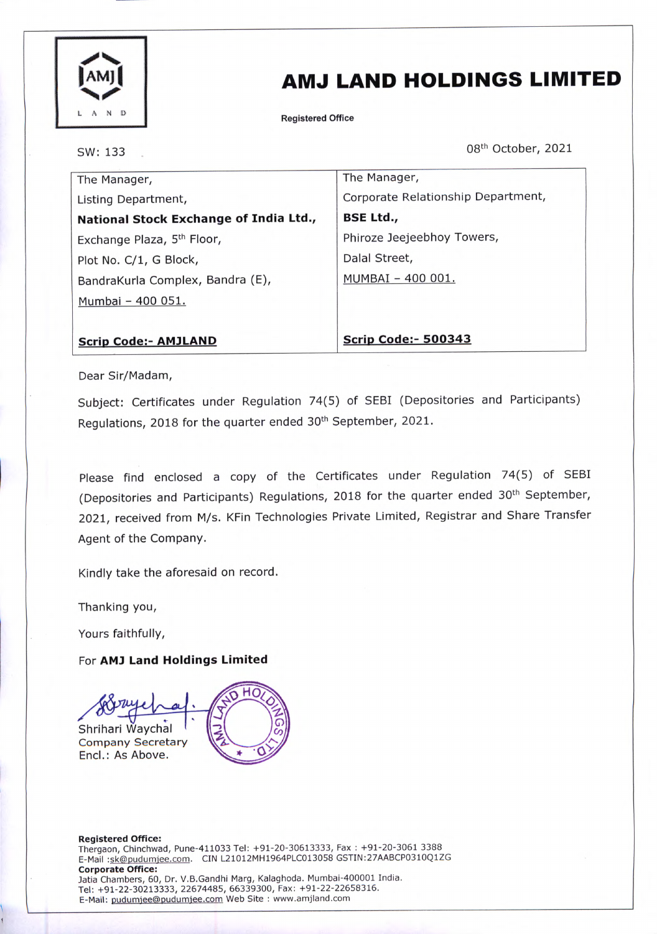

## AMJ LAND HOLDINGS LIMITED

Registered Office

SW: 133

08th October, 2021

| The Manager,                           | The Manager,                       |
|----------------------------------------|------------------------------------|
| Listing Department,                    | Corporate Relationship Department, |
| National Stock Exchange of India Ltd., | <b>BSE Ltd.,</b>                   |
| Exchange Plaza, 5 <sup>th</sup> Floor, | Phiroze Jeejeebhoy Towers,         |
| Plot No. C/1, G Block,                 | Dalal Street,                      |
| BandraKurla Complex, Bandra (E),       | MUMBAI - 400 001.                  |
| Mumbai - 400 051.                      |                                    |
|                                        |                                    |
| <b>Scrip Code:- AMJLAND</b>            | <b>Scrip Code:- 500343</b>         |

Dear Sir/Madam,

Subject: Certificates under Regulation 74(5) of SEBI (Depositories and Participants) Regulations, 2018 for the quarter ended 30<sup>th</sup> September, 2021.

Please find enclosed a copy of the Certificates under Regulation 74(5) of SEBI (Depositories and Participants) Regulations, 2018 for the quarter ended 30th September, 2021, received from M/s. KFin Technologies Private Limited, Registrar and Share Transfer Agent of the Company.

Kindly take the aforesaid on record.

Thanking you,

Yours faithfully,

For AM) Land Holdings Limited

нс Shrihari Waychal Company Secretary Encl.: As Above.

Registered Office: Thergaon, Chinchwad, Pune-411033 Tel: +91-20-30613333, Fax : +91-20-3061 3388 E-Mail:sk@pudumjee.com. CIN L21012MH1964PLC013058 GSTIN:27AABCP0310Q1ZG Corporate Office: Jatia Chambers, 60, Dr. V.B.Gandhi Marg, Kalaghoda. Mumbai-400001 India. Tel: +91-22-30213333, 22674485, 66339300, Fax: +91-22-22658316. E-Mail: pudumjee@pudumjee.com Web Site : www.amjland.com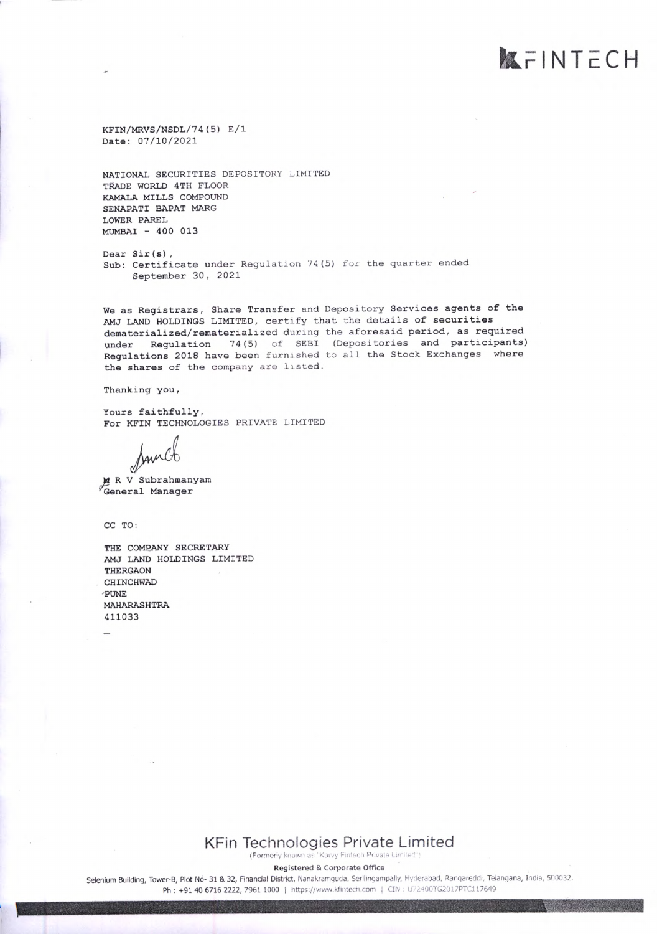KFIN/MRVS/NSDL/74(5) E/1 Date: 07/10/2021

NATIONAL SECURITIES DEPOSITORY LIMITED TRADE WORLD 4TH FLOOR KAMALA MILLS COMPOUND SENAPATI BAPAT MARG LOWER PAREL MUMBAI - 400 013

Dear Sir(s), Sub: Certificate under Regulation 74(5) for the quarter ended September 30, 2021

We as Registrars, Share Transfer and Depository Services agents of the AMJ LAND HOLDINGS LIMITED, certify that the details of securities dematerialized/rematerialized during the aforesaid period, as required under Regulation 74(5) of SEBI (Depositories and participants) Regulations 2018 have been furnished to all the Stock Exchanges where the shares of the company are listed.

**KFINTECH** 

Thanking you,

Yours faithfully, For KFIN TECHNOLOGIES PRIVATE LIMITED

M R V Subrahmanyam "General Manager

CC TO:

THE COMPANY SECRETARY AMJ LAND HOLDINGS LIMITED THERGAON CHINCHWAD 'PUNE MAHARASHTRA 411033

> KFin Technologies Private Limited (Formerly known as "Karvy Fintech Private Limited")

> > Registered & Corporate Office

Selenium Building, Tower-B, Plot No- 31 & 32, Financial District, Nanakrarnguda, Serilingampally, Hyderabad, Rangareddi, Telangana, India, 500032. Ph : +91 40 6716 2222, 7961 1000 | https://www.kfintech.com | CIN: U72400TG2017PTC117649